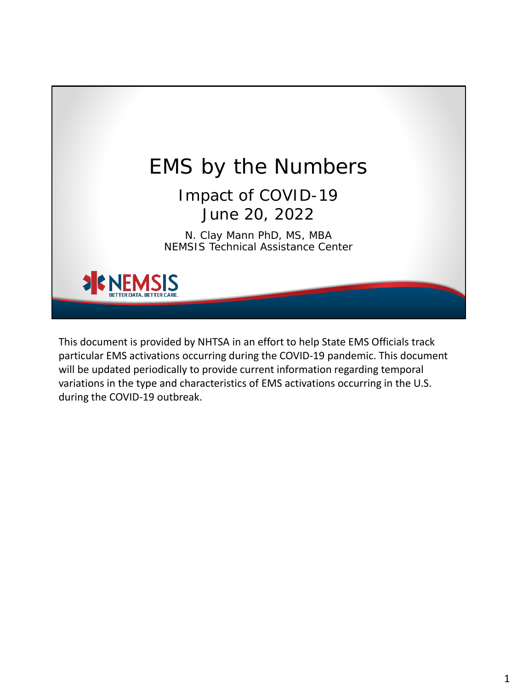

This document is provided by NHTSA in an effort to help State EMS Officials track particular EMS activations occurring during the COVID-19 pandemic. This document will be updated periodically to provide current information regarding temporal variations in the type and characteristics of EMS activations occurring in the U.S. during the COVID-19 outbreak.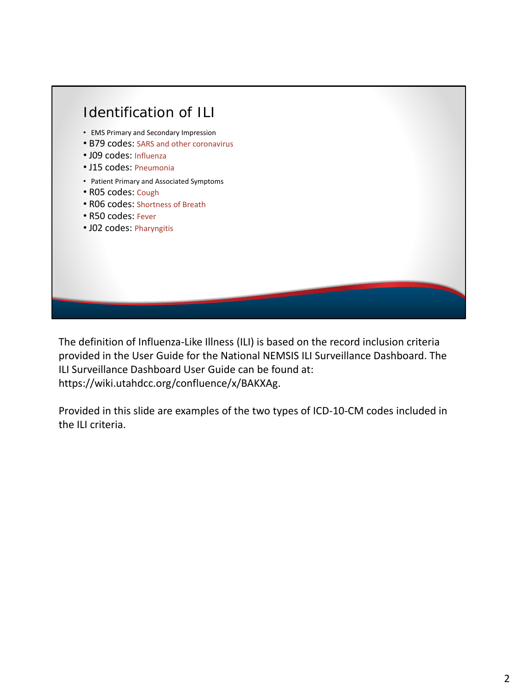

The definition of Influenza-Like Illness (ILI) is based on the record inclusion criteria provided in the User Guide for the National NEMSIS ILI Surveillance Dashboard. The ILI Surveillance Dashboard User Guide can be found at: https://wiki.utahdcc.org/confluence/x/BAKXAg.

Provided in this slide are examples of the two types of ICD-10-CM codes included in the ILI criteria.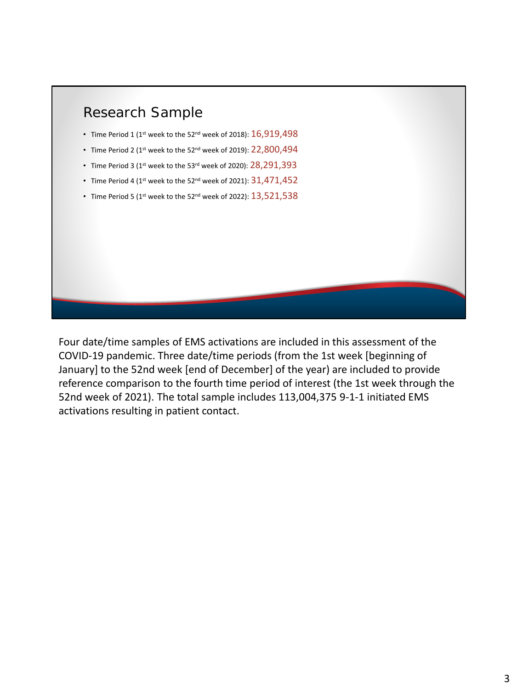

Four date/time samples of EMS activations are included in this assessment of the COVID-19 pandemic. Three date/time periods (from the 1st week [beginning of January] to the 52nd week [end of December] of the year) are included to provide reference comparison to the fourth time period of interest (the 1st week through the 52nd week of 2021). The total sample includes 113,004,375 9-1-1 initiated EMS activations resulting in patient contact.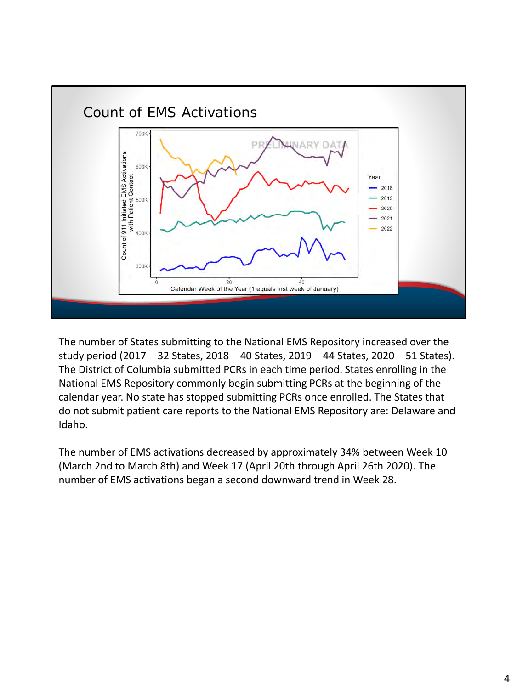

The number of States submitting to the National EMS Repository increased over the study period (2017 – 32 States, 2018 – 40 States, 2019 – 44 States, 2020 – 51 States). The District of Columbia submitted PCRs in each time period. States enrolling in the National EMS Repository commonly begin submitting PCRs at the beginning of the calendar year. No state has stopped submitting PCRs once enrolled. The States that do not submit patient care reports to the National EMS Repository are: Delaware and Idaho.

The number of EMS activations decreased by approximately 34% between Week 10 (March 2nd to March 8th) and Week 17 (April 20th through April 26th 2020). The number of EMS activations began a second downward trend in Week 28.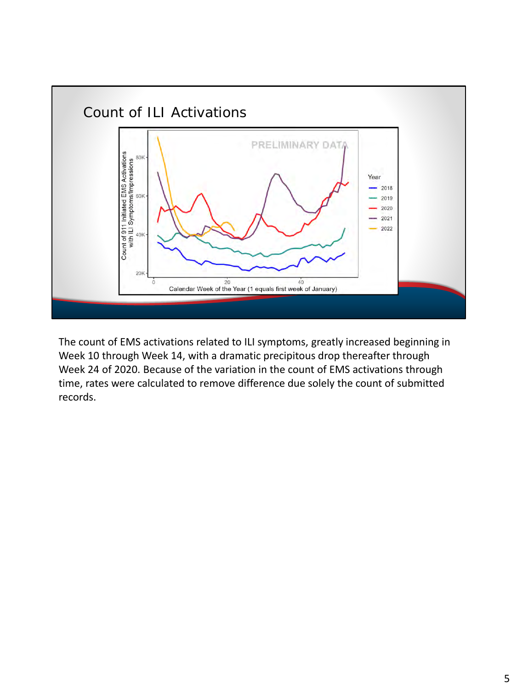

The count of EMS activations related to ILI symptoms, greatly increased beginning in Week 10 through Week 14, with a dramatic precipitous drop thereafter through Week 24 of 2020. Because of the variation in the count of EMS activations through time, rates were calculated to remove difference due solely the count of submitted records.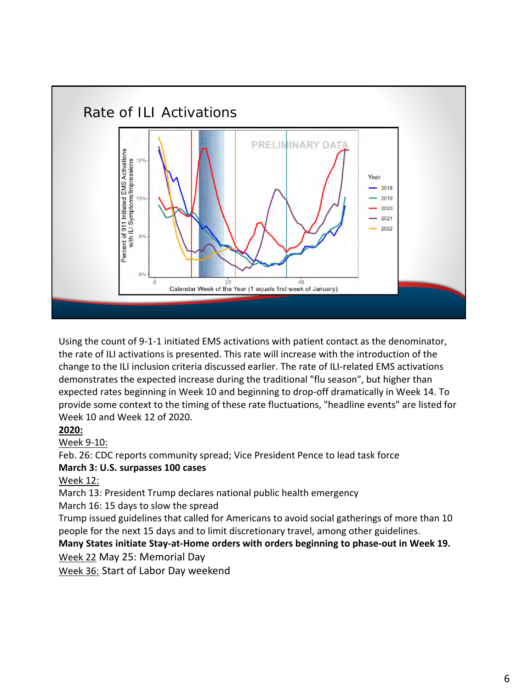

Using the count of 9-1-1 initiated EMS activations with patient contact as the denominator, the rate of ILI activations is presented. This rate will increase with the introduction of the change to the ILI inclusion criteria discussed earlier. The rate of ILI-related EMS activations demonstrates the expected increase during the traditional "flu season", but higher than expected rates beginning in Week 10 and beginning to drop-off dramatically in Week 14. To provide some context to the timing of these rate fluctuations, "headline events" are listed for Week 10 and Week 12 of 2020.

## **2020:**

Week 9-10:

Feb. 26: CDC reports community spread; Vice President Pence to lead task force

## **March 3: U.S. surpasses 100 cases**

Week 12:

March 13: President Trump declares national public health emergency

March 16: 15 days to slow the spread

Trump issued guidelines that called for Americans to avoid social gatherings of more than 10 people for the next 15 days and to limit discretionary travel, among other guidelines.

## **Many States initiate Stay-at-Home orders with orders beginning to phase-out in Week 19.**

Week 22 May 25: Memorial Day

Week 36: Start of Labor Day weekend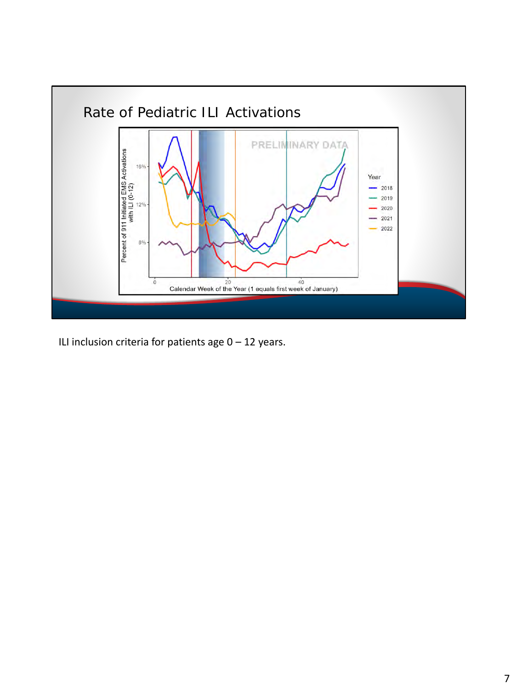

ILI inclusion criteria for patients age  $0 - 12$  years.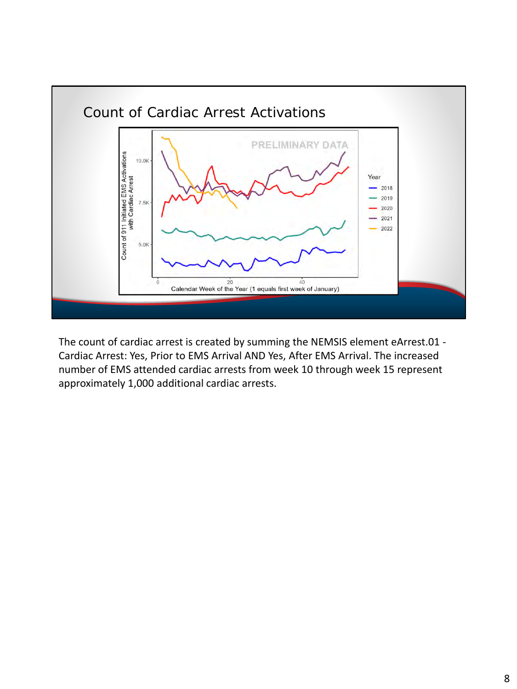

The count of cardiac arrest is created by summing the NEMSIS element eArrest.01 - Cardiac Arrest: Yes, Prior to EMS Arrival AND Yes, After EMS Arrival. The increased number of EMS attended cardiac arrests from week 10 through week 15 represent approximately 1,000 additional cardiac arrests.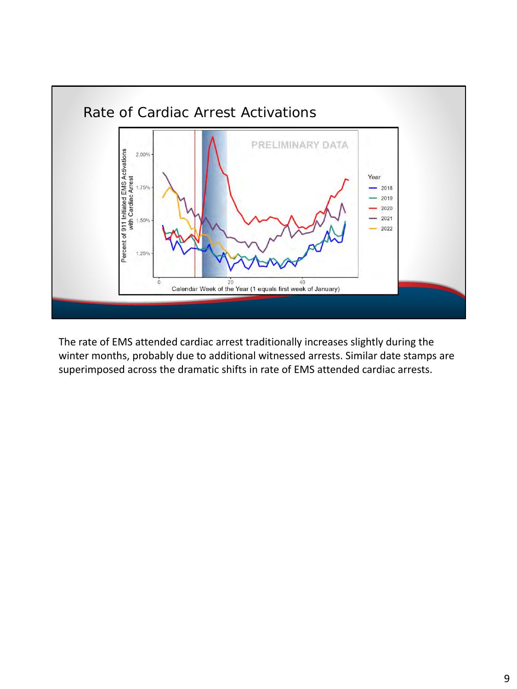

The rate of EMS attended cardiac arrest traditionally increases slightly during the winter months, probably due to additional witnessed arrests. Similar date stamps are superimposed across the dramatic shifts in rate of EMS attended cardiac arrests.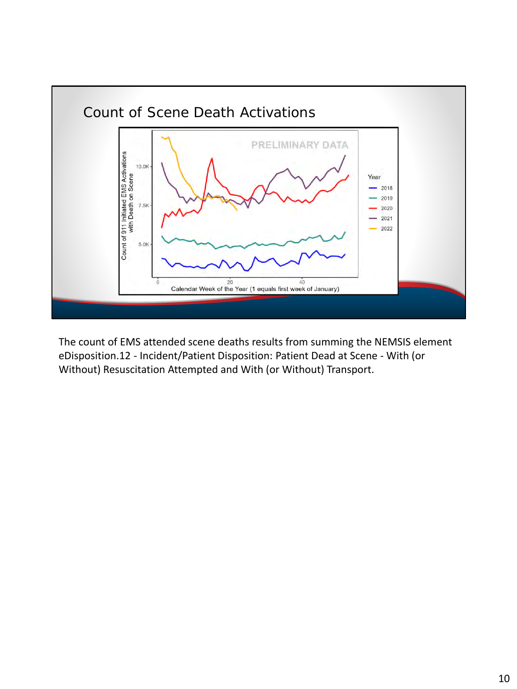

The count of EMS attended scene deaths results from summing the NEMSIS element eDisposition.12 - Incident/Patient Disposition: Patient Dead at Scene - With (or Without) Resuscitation Attempted and With (or Without) Transport.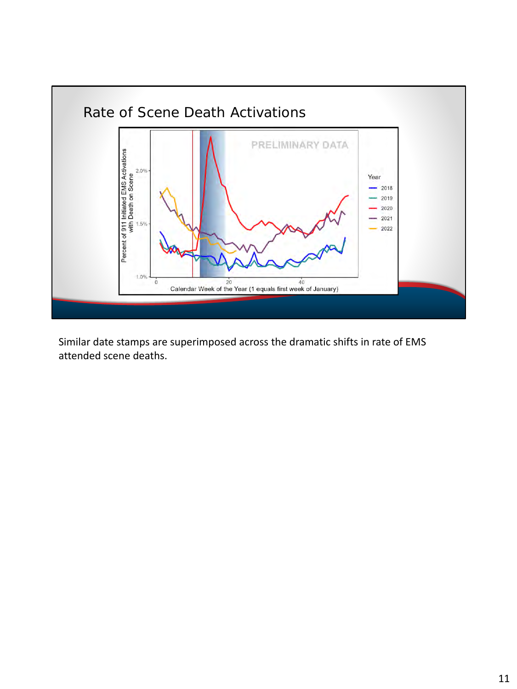

Similar date stamps are superimposed across the dramatic shifts in rate of EMS attended scene deaths.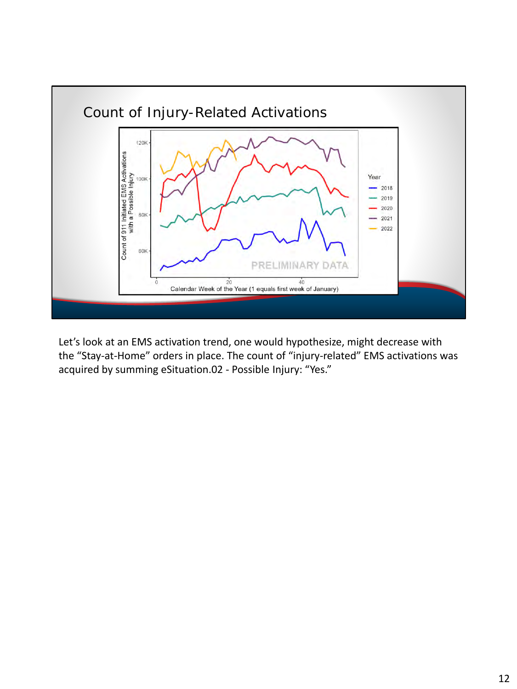

Let's look at an EMS activation trend, one would hypothesize, might decrease with the "Stay-at-Home" orders in place. The count of "injury-related" EMS activations was acquired by summing eSituation.02 - Possible Injury: "Yes."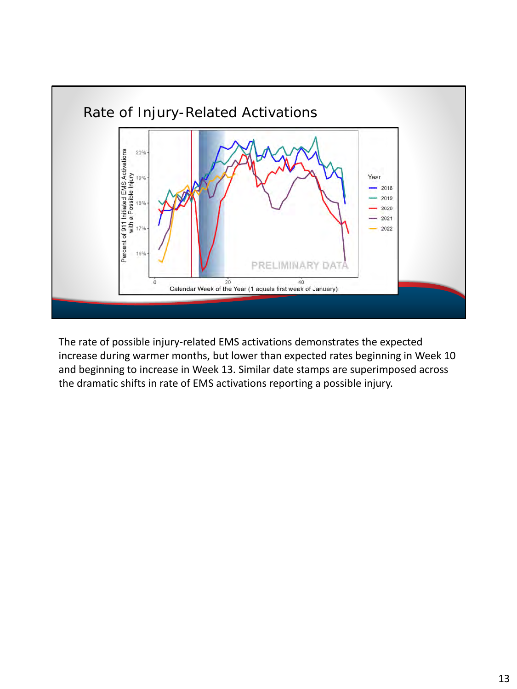

The rate of possible injury-related EMS activations demonstrates the expected increase during warmer months, but lower than expected rates beginning in Week 10 and beginning to increase in Week 13. Similar date stamps are superimposed across the dramatic shifts in rate of EMS activations reporting a possible injury.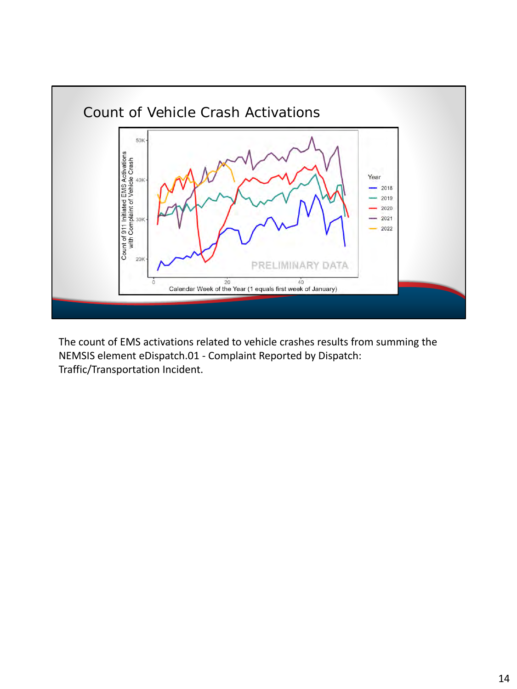

The count of EMS activations related to vehicle crashes results from summing the NEMSIS element eDispatch.01 - Complaint Reported by Dispatch: Traffic/Transportation Incident.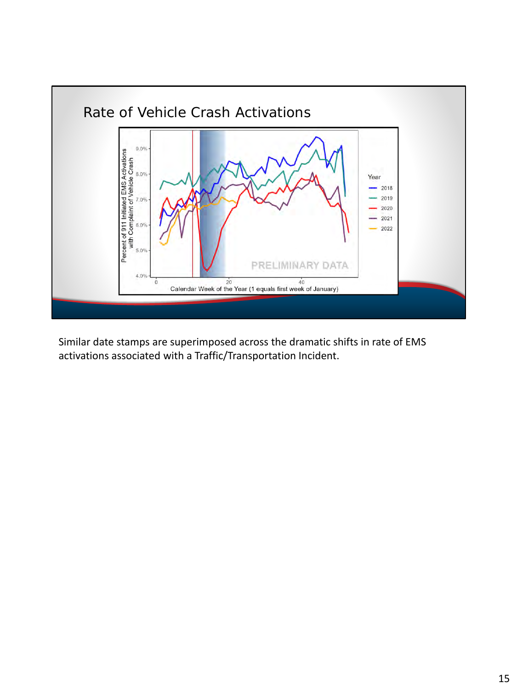

Similar date stamps are superimposed across the dramatic shifts in rate of EMS activations associated with a Traffic/Transportation Incident.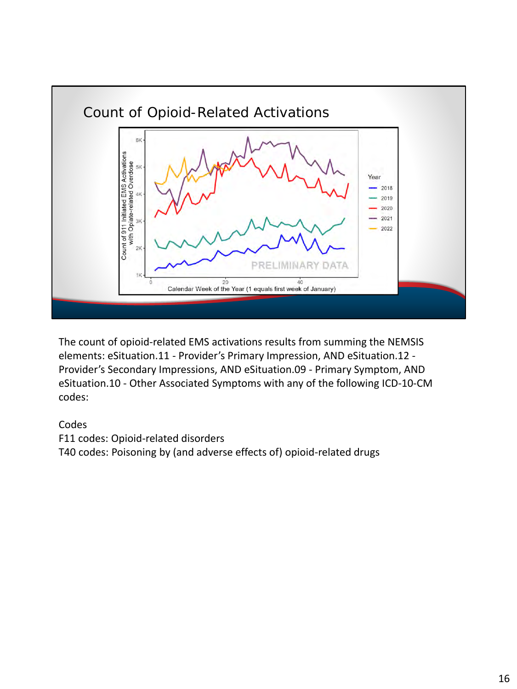

The count of opioid-related EMS activations results from summing the NEMSIS elements: eSituation.11 - Provider's Primary Impression, AND eSituation.12 - Provider's Secondary Impressions, AND eSituation.09 - Primary Symptom, AND eSituation.10 - Other Associated Symptoms with any of the following ICD-10-CM codes:

## Codes

F11 codes: Opioid-related disorders T40 codes: Poisoning by (and adverse effects of) opioid-related drugs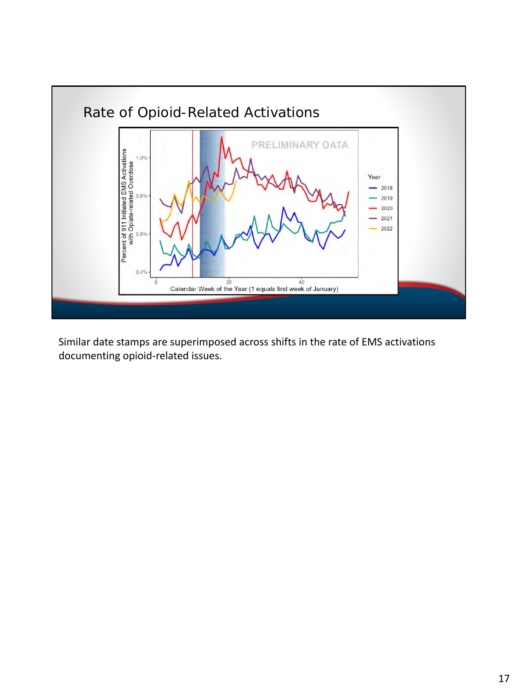

Similar date stamps are superimposed across shifts in the rate of EMS activations documenting opioid-related issues.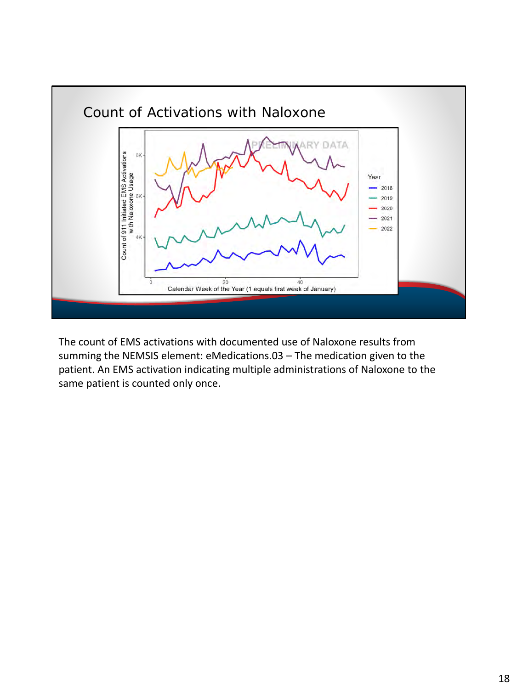

The count of EMS activations with documented use of Naloxone results from summing the NEMSIS element: eMedications.03 – The medication given to the patient. An EMS activation indicating multiple administrations of Naloxone to the same patient is counted only once.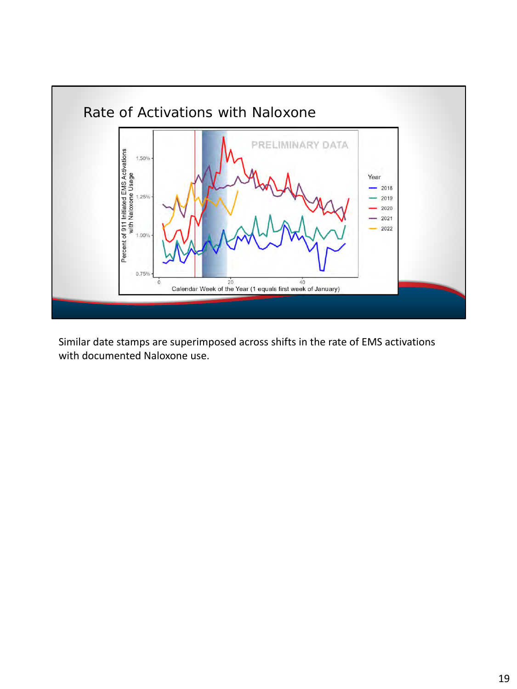

Similar date stamps are superimposed across shifts in the rate of EMS activations with documented Naloxone use.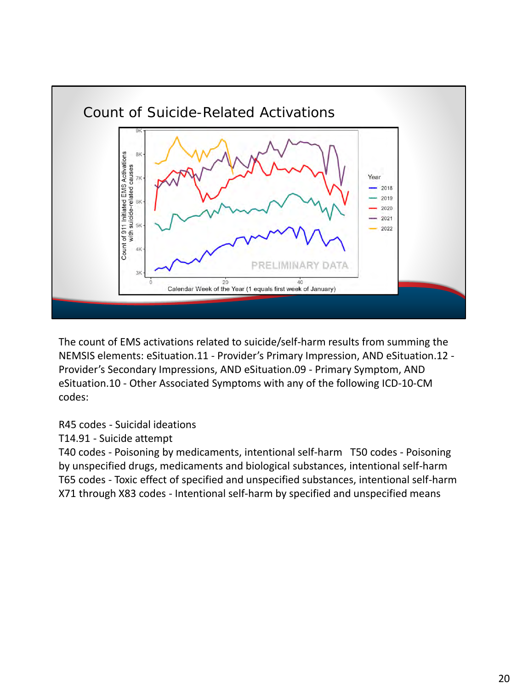

The count of EMS activations related to suicide/self-harm results from summing the NEMSIS elements: eSituation.11 - Provider's Primary Impression, AND eSituation.12 - Provider's Secondary Impressions, AND eSituation.09 - Primary Symptom, AND eSituation.10 - Other Associated Symptoms with any of the following ICD-10-CM codes:

R45 codes - Suicidal ideations

T14.91 - Suicide attempt

T40 codes - Poisoning by medicaments, intentional self-harm T50 codes - Poisoning by unspecified drugs, medicaments and biological substances, intentional self-harm T65 codes - Toxic effect of specified and unspecified substances, intentional self-harm X71 through X83 codes - Intentional self-harm by specified and unspecified means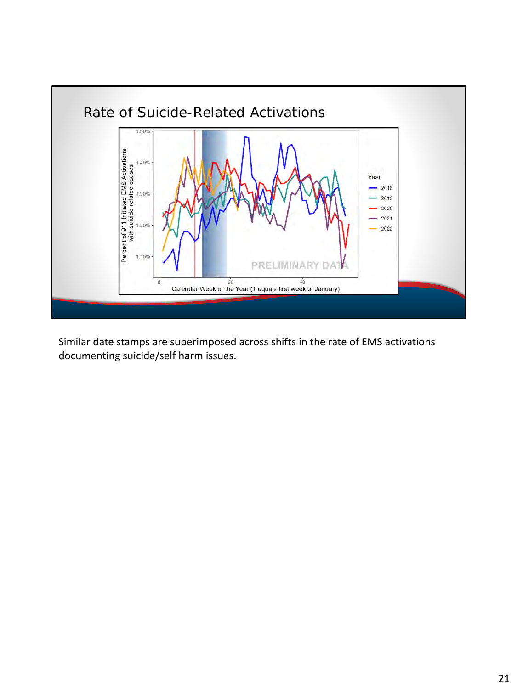

Similar date stamps are superimposed across shifts in the rate of EMS activations documenting suicide/self harm issues.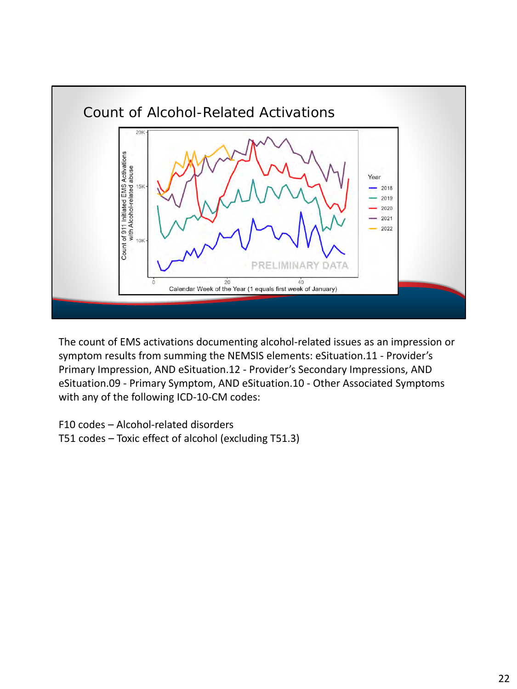

The count of EMS activations documenting alcohol-related issues as an impression or symptom results from summing the NEMSIS elements: eSituation.11 - Provider's Primary Impression, AND eSituation.12 - Provider's Secondary Impressions, AND eSituation.09 - Primary Symptom, AND eSituation.10 - Other Associated Symptoms with any of the following ICD-10-CM codes:

F10 codes – Alcohol-related disorders T51 codes – Toxic effect of alcohol (excluding T51.3)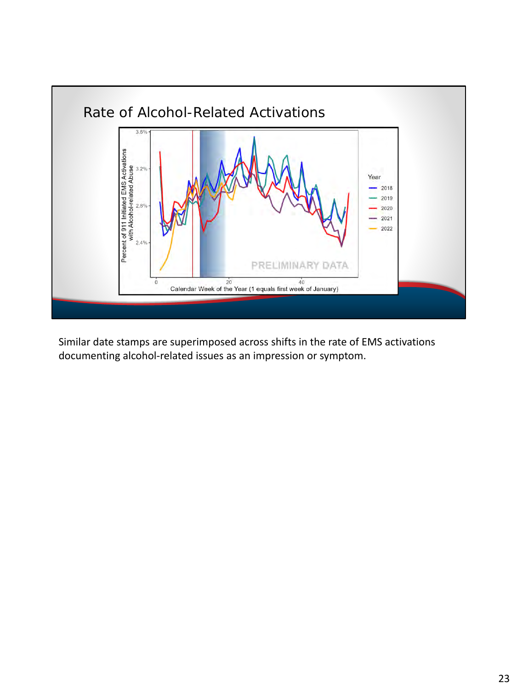

Similar date stamps are superimposed across shifts in the rate of EMS activations documenting alcohol-related issues as an impression or symptom.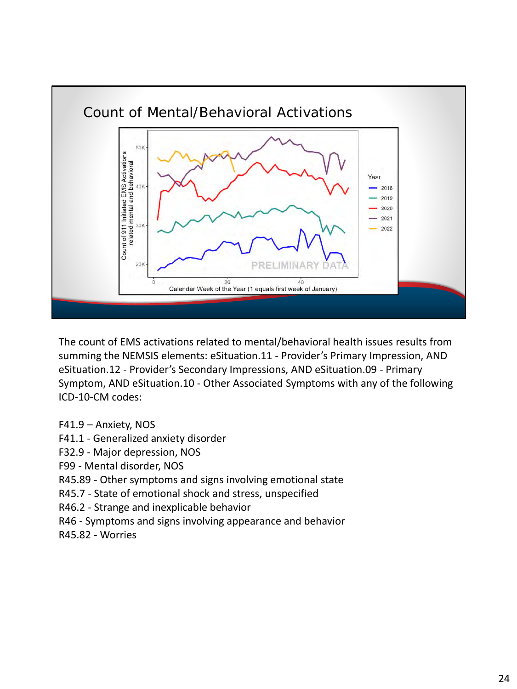

The count of EMS activations related to mental/behavioral health issues results from summing the NEMSIS elements: eSituation.11 - Provider's Primary Impression, AND eSituation.12 - Provider's Secondary Impressions, AND eSituation.09 - Primary Symptom, AND eSituation.10 - Other Associated Symptoms with any of the following ICD-10-CM codes:

- F41.9 Anxiety, NOS
- F41.1 Generalized anxiety disorder
- F32.9 Major depression, NOS
- F99 Mental disorder, NOS
- R45.89 Other symptoms and signs involving emotional state
- R45.7 State of emotional shock and stress, unspecified
- R46.2 Strange and inexplicable behavior
- R46 Symptoms and signs involving appearance and behavior
- R45.82 Worries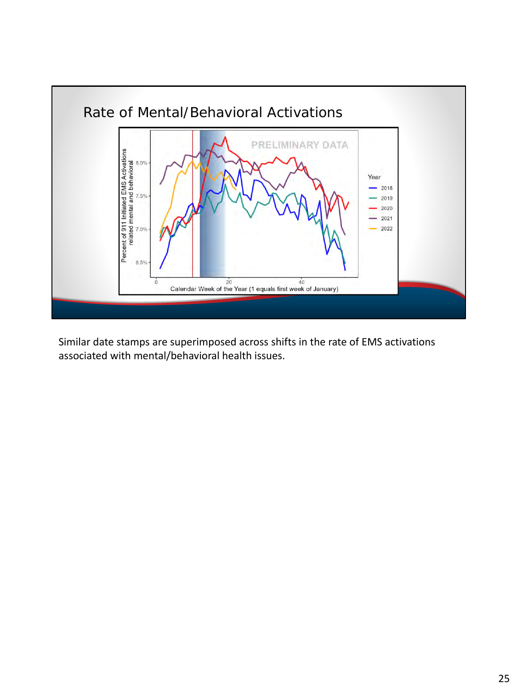

Similar date stamps are superimposed across shifts in the rate of EMS activations associated with mental/behavioral health issues.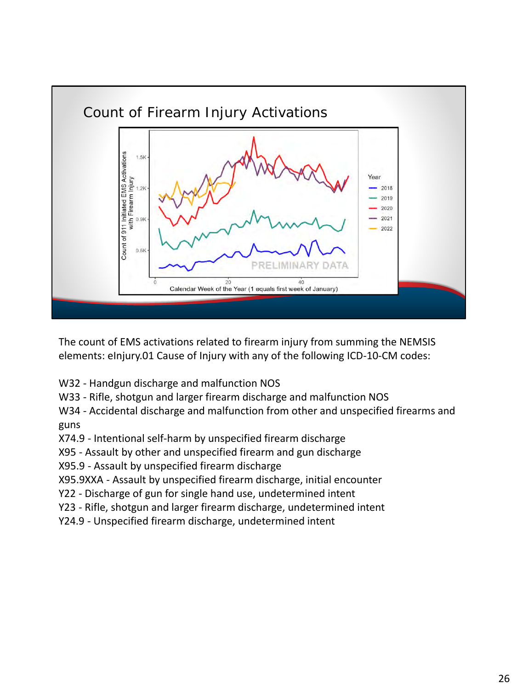

The count of EMS activations related to firearm injury from summing the NEMSIS elements: eInjury.01 Cause of Injury with any of the following ICD-10-CM codes:

- W32 Handgun discharge and malfunction NOS
- W33 Rifle, shotgun and larger firearm discharge and malfunction NOS
- W34 Accidental discharge and malfunction from other and unspecified firearms and guns
- X74.9 Intentional self-harm by unspecified firearm discharge
- X95 Assault by other and unspecified firearm and gun discharge
- X95.9 Assault by unspecified firearm discharge
- X95.9XXA Assault by unspecified firearm discharge, initial encounter
- Y22 Discharge of gun for single hand use, undetermined intent
- Y23 Rifle, shotgun and larger firearm discharge, undetermined intent
- Y24.9 Unspecified firearm discharge, undetermined intent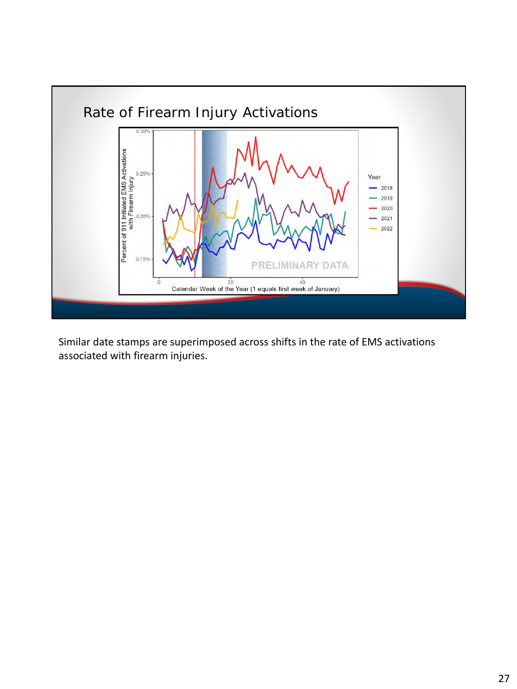

Similar date stamps are superimposed across shifts in the rate of EMS activations associated with firearm injuries.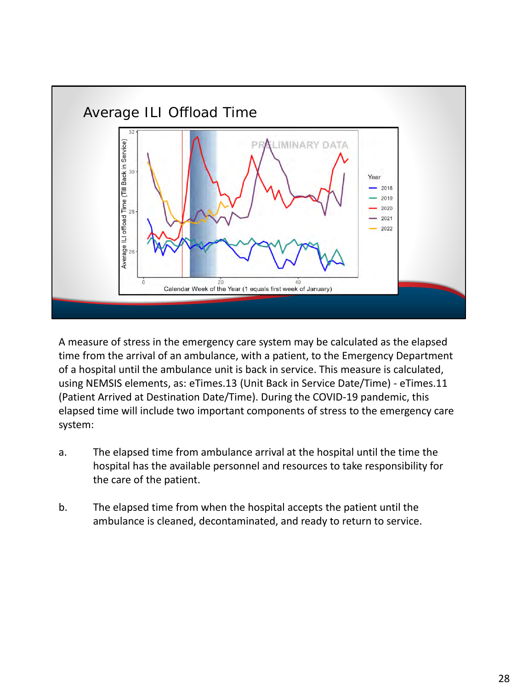

A measure of stress in the emergency care system may be calculated as the elapsed time from the arrival of an ambulance, with a patient, to the Emergency Department of a hospital until the ambulance unit is back in service. This measure is calculated, using NEMSIS elements, as: eTimes.13 (Unit Back in Service Date/Time) - eTimes.11 (Patient Arrived at Destination Date/Time). During the COVID-19 pandemic, this elapsed time will include two important components of stress to the emergency care system:

- a. The elapsed time from ambulance arrival at the hospital until the time the hospital has the available personnel and resources to take responsibility for the care of the patient.
- b. The elapsed time from when the hospital accepts the patient until the ambulance is cleaned, decontaminated, and ready to return to service.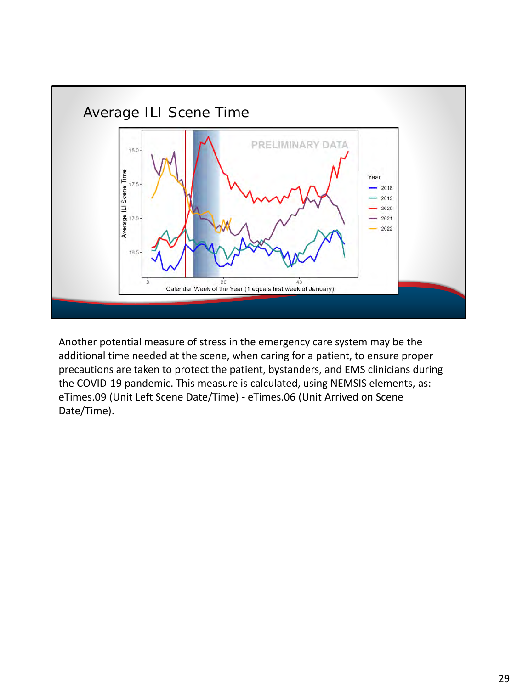

Another potential measure of stress in the emergency care system may be the additional time needed at the scene, when caring for a patient, to ensure proper precautions are taken to protect the patient, bystanders, and EMS clinicians during the COVID-19 pandemic. This measure is calculated, using NEMSIS elements, as: eTimes.09 (Unit Left Scene Date/Time) - eTimes.06 (Unit Arrived on Scene Date/Time).